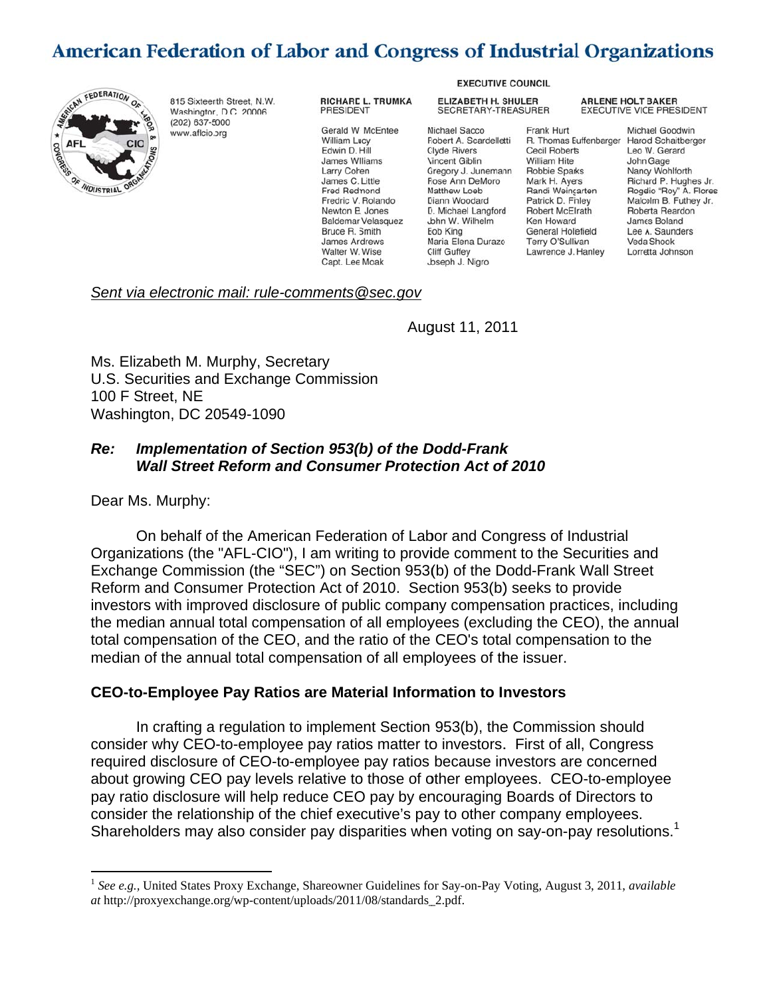# American Federation of Labor and Congress of Industrial Organizations



815 Sixteerth Street, N.W. Washington, D.C. 20006 (202) 637-5000 www.aflcio.org

#### RICHARD L. TRUMKA PRESIDENT

Gerald W. McEntee William Lucy Edwin D. Hill **James Williams** Larry Cohen James C. Little Fred Redmond Fredric V. Rolando Newton B. Jones Baldemar Velasquez Bruce R. Smith James Andrews Walter W. Wise Capt. Lee Moak

**EXECUTIVE COUNCIL** 

**ELIZABETH H. SHULER** SECRETARY-TREASURER

Michael Sacco Robert A. Scardelletti **Clyde Rivers** Vincent Giblin Gregory J. Junemann **Fose Ann DeMoro** Matthew Loeb Diann Woodard D. Michael Langford John W. Wilhelm Eob King Maria Elena Durazo **Cliff Guffey** Joseph J. Nigro

#### Frank Hurt R. Thomas Euffenbarger Cecil Roberts William Hite Robbie Sparks Mark H. Avers Randi Weincarten Patrick D. Finley Robert McElrath Ken Howard **General Holiefield** Terry O'Sullivan Lawrence J. Hanley

**ARLENE HOLT BAKER EXECUTIVE VICE PRESIDENT** 

> Michael Goodwin Harold Schaitberger Leo W. Gerard John Gage Nancy Wohlforth Richard P. Hughes Jr. Rogelio "Roy" A. Flores Malcolm B. Futhey Jr. Roberta Reardon James Boland Lee A. Saunders Veda Shook Lorretta Johnson

#### *Sent via electronic mail: rule-comments@sec.gov*

August 11, 2011

Ms. Elizabeth M. Murphy, Secretary U.S. Securities and Exchange Commission 100 F Street, NE Washington, DC 20549-1090

#### *Re: Implementation of Section 953(b) of the Dodd-Frank Wall Street Reform and Consumer Protection Act of 2010*

Dear Ms. Murphy:

On behalf of the American Federation of Labor and Congress of Industrial Organizations (the "AFL-CIO"), I am writing to provide comment to the Securities and Exchange Commission (the "SEC") on Section 953(b) of the Dodd-Frank Wall Street Reform and Consumer Protection Act of 2010. Section 953(b) seeks to provide investors with improved disclosure of public company compensation practices, including the median annual total compensation of all employees (excluding the CEO), the annual total compensation of the CEO, and the ratio of the CEO's total compensation to the median of the annual total compensation of all employees of the issuer.

#### **CEO-to-Employee Pay Ratios are Material Information to Investors**

In crafting a regulation to implement Section 953(b), the Commission should consider why CEO-to-employee pay ratios matter to investors. First of all, Congress required disclosure of CEO-to-employee pay ratios because investors are concerned about growing CEO pay levels relative to those of other employees. CEO-to-employee pay ratio disclosure will help reduce CEO pay by encouraging Boards of Directors to consider the relationship of the chief executive's pay to other company employees. Shareholders may also consider pay disparities when voting on say-on-pay resolutions.<sup>1</sup>

 <sup>1</sup>*See e.g.,* United States Proxy Exchange, Shareowner Guidelines for Say-on-Pay Voting, August 3, 2011, *available at* http://proxyexchange.org/wp-content/uploads/2011/08/standards\_2.pdf.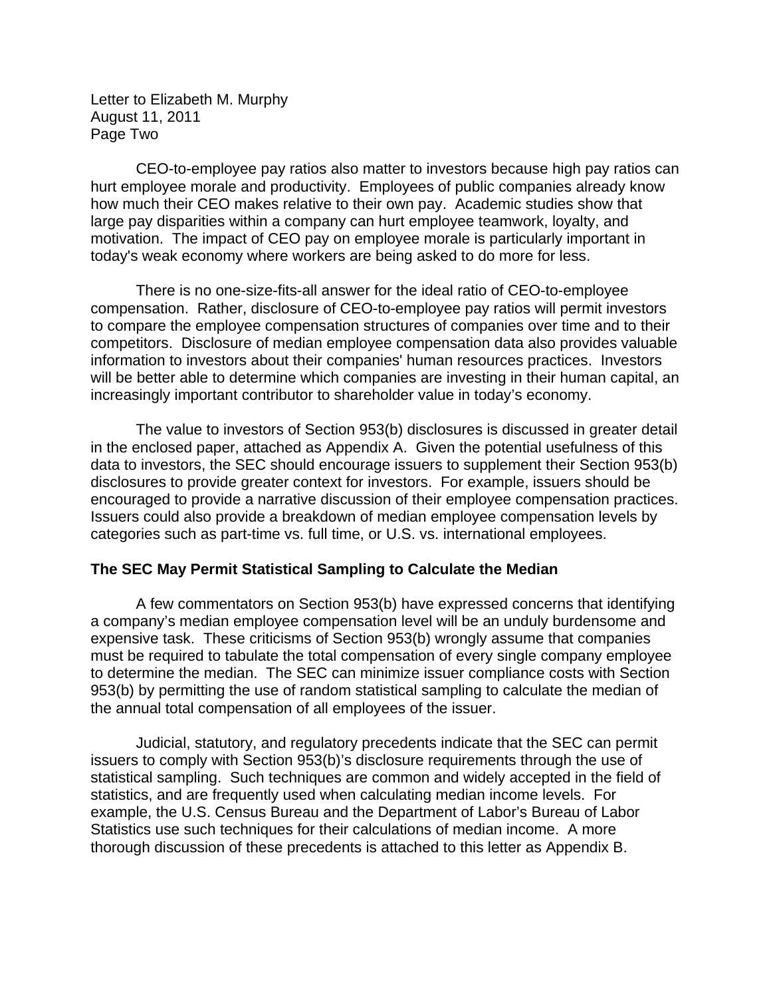Letter to Elizabeth M. Murphy August 11, 2011 Page Two

CEO-to-employee pay ratios also matter to investors because high pay ratios can hurt employee morale and productivity. Employees of public companies already know how much their CEO makes relative to their own pay. Academic studies show that large pay disparities within a company can hurt employee teamwork, loyalty, and motivation. The impact of CEO pay on employee morale is particularly important in today's weak economy where workers are being asked to do more for less.

There is no one-size-fits-all answer for the ideal ratio of CEO-to-employee compensation. Rather, disclosure of CEO-to-employee pay ratios will permit investors to compare the employee compensation structures of companies over time and to their competitors. Disclosure of median employee compensation data also provides valuable information to investors about their companies' human resources practices. Investors will be better able to determine which companies are investing in their human capital, an increasingly important contributor to shareholder value in today's economy.

The value to investors of Section 953(b) disclosures is discussed in greater detail in the enclosed paper, attached as Appendix A. Given the potential usefulness of this data to investors, the SEC should encourage issuers to supplement their Section 953(b) disclosures to provide greater context for investors. For example, issuers should be encouraged to provide a narrative discussion of their employee compensation practices. Issuers could also provide a breakdown of median employee compensation levels by categories such as part-time vs. full time, or U.S. vs. international employees.

#### **The SEC May Permit Statistical Sampling to Calculate the Median**

A few commentators on Section 953(b) have expressed concerns that identifying a company's median employee compensation level will be an unduly burdensome and expensive task. These criticisms of Section 953(b) wrongly assume that companies must be required to tabulate the total compensation of every single company employee to determine the median. The SEC can minimize issuer compliance costs with Section 953(b) by permitting the use of random statistical sampling to calculate the median of the annual total compensation of all employees of the issuer.

Judicial, statutory, and regulatory precedents indicate that the SEC can permit issuers to comply with Section 953(b)'s disclosure requirements through the use of statistical sampling. Such techniques are common and widely accepted in the field of statistics, and are frequently used when calculating median income levels. For example, the U.S. Census Bureau and the Department of Labor's Bureau of Labor Statistics use such techniques for their calculations of median income. A more thorough discussion of these precedents is attached to this letter as Appendix B.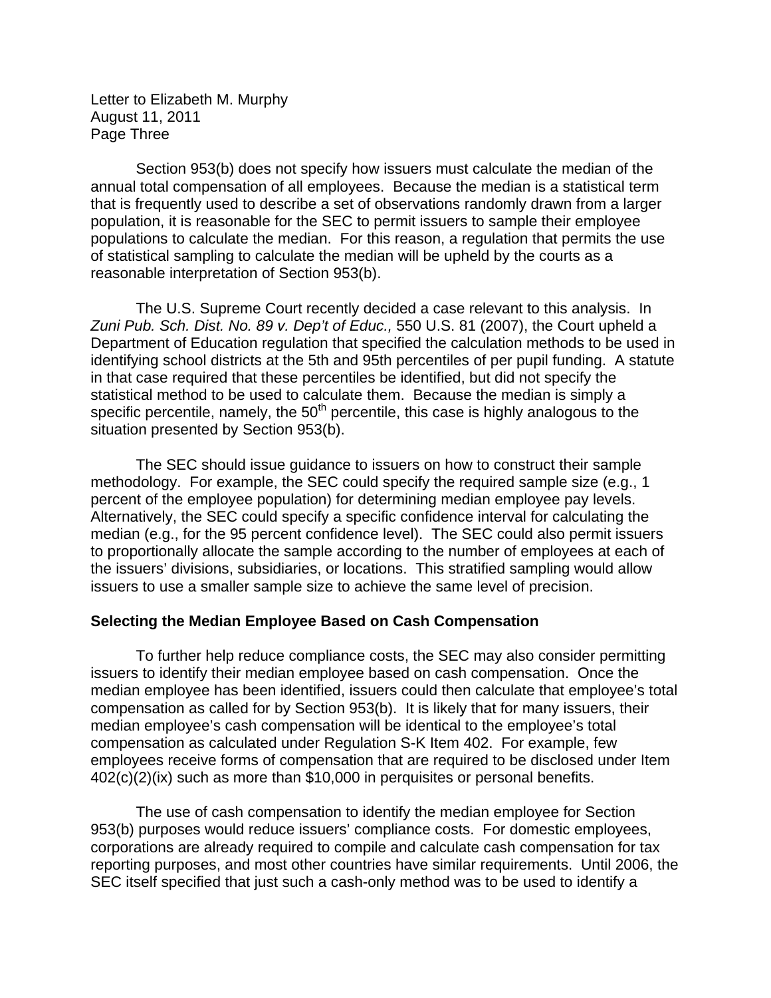Letter to Elizabeth M. Murphy August 11, 2011 Page Three

Section 953(b) does not specify how issuers must calculate the median of the annual total compensation of all employees. Because the median is a statistical term that is frequently used to describe a set of observations randomly drawn from a larger population, it is reasonable for the SEC to permit issuers to sample their employee populations to calculate the median. For this reason, a regulation that permits the use of statistical sampling to calculate the median will be upheld by the courts as a reasonable interpretation of Section 953(b).

The U.S. Supreme Court recently decided a case relevant to this analysis. In *Zuni Pub. Sch. Dist. No. 89 v. Dep't of Educ.,* 550 U.S. 81 (2007), the Court upheld a Department of Education regulation that specified the calculation methods to be used in identifying school districts at the 5th and 95th percentiles of per pupil funding. A statute in that case required that these percentiles be identified, but did not specify the statistical method to be used to calculate them. Because the median is simply a specific percentile, namely, the  $50<sup>th</sup>$  percentile, this case is highly analogous to the situation presented by Section 953(b).

The SEC should issue guidance to issuers on how to construct their sample methodology. For example, the SEC could specify the required sample size (e.g., 1 percent of the employee population) for determining median employee pay levels. Alternatively, the SEC could specify a specific confidence interval for calculating the median (e.g., for the 95 percent confidence level). The SEC could also permit issuers to proportionally allocate the sample according to the number of employees at each of the issuers' divisions, subsidiaries, or locations. This stratified sampling would allow issuers to use a smaller sample size to achieve the same level of precision.

#### **Selecting the Median Employee Based on Cash Compensation**

To further help reduce compliance costs, the SEC may also consider permitting issuers to identify their median employee based on cash compensation. Once the median employee has been identified, issuers could then calculate that employee's total compensation as called for by Section 953(b). It is likely that for many issuers, their median employee's cash compensation will be identical to the employee's total compensation as calculated under Regulation S-K Item 402. For example, few employees receive forms of compensation that are required to be disclosed under Item 402(c)(2)(ix) such as more than \$10,000 in perquisites or personal benefits.

The use of cash compensation to identify the median employee for Section 953(b) purposes would reduce issuers' compliance costs. For domestic employees, corporations are already required to compile and calculate cash compensation for tax reporting purposes, and most other countries have similar requirements. Until 2006, the SEC itself specified that just such a cash-only method was to be used to identify a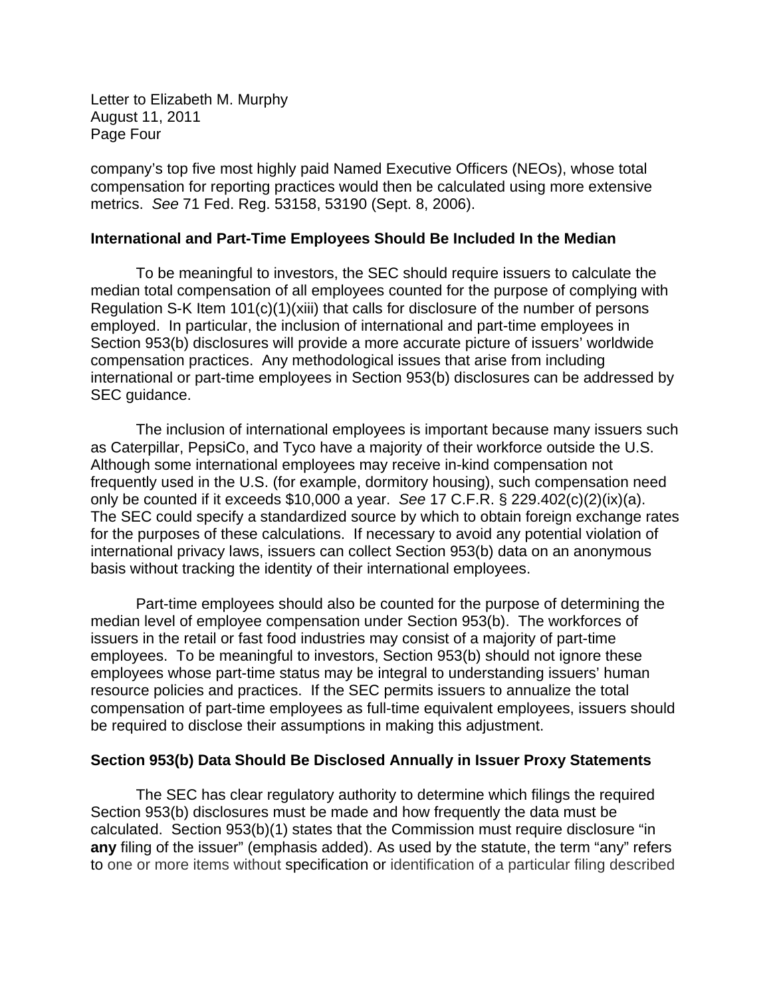Letter to Elizabeth M. Murphy August 11, 2011 Page Four

company's top five most highly paid Named Executive Officers (NEOs), whose total compensation for reporting practices would then be calculated using more extensive metrics. *See* 71 Fed. Reg. 53158, 53190 (Sept. 8, 2006).

#### **International and Part-Time Employees Should Be Included In the Median**

To be meaningful to investors, the SEC should require issuers to calculate the median total compensation of all employees counted for the purpose of complying with Regulation S-K Item 101(c)(1)(xiii) that calls for disclosure of the number of persons employed. In particular, the inclusion of international and part-time employees in Section 953(b) disclosures will provide a more accurate picture of issuers' worldwide compensation practices. Any methodological issues that arise from including international or part-time employees in Section 953(b) disclosures can be addressed by SEC guidance.

The inclusion of international employees is important because many issuers such as Caterpillar, PepsiCo, and Tyco have a majority of their workforce outside the U.S. Although some international employees may receive in-kind compensation not frequently used in the U.S. (for example, dormitory housing), such compensation need only be counted if it exceeds \$10,000 a year. *See* 17 C.F.R. § 229.402(c)(2)(ix)(a). The SEC could specify a standardized source by which to obtain foreign exchange rates for the purposes of these calculations. If necessary to avoid any potential violation of international privacy laws, issuers can collect Section 953(b) data on an anonymous basis without tracking the identity of their international employees.

Part-time employees should also be counted for the purpose of determining the median level of employee compensation under Section 953(b). The workforces of issuers in the retail or fast food industries may consist of a majority of part-time employees. To be meaningful to investors, Section 953(b) should not ignore these employees whose part-time status may be integral to understanding issuers' human resource policies and practices. If the SEC permits issuers to annualize the total compensation of part-time employees as full-time equivalent employees, issuers should be required to disclose their assumptions in making this adjustment.

#### **Section 953(b) Data Should Be Disclosed Annually in Issuer Proxy Statements**

The SEC has clear regulatory authority to determine which filings the required Section 953(b) disclosures must be made and how frequently the data must be calculated. Section 953(b)(1) states that the Commission must require disclosure "in **any** filing of the issuer" (emphasis added). As used by the statute, the term "any" refers to one or more items without specification or identification of a particular filing described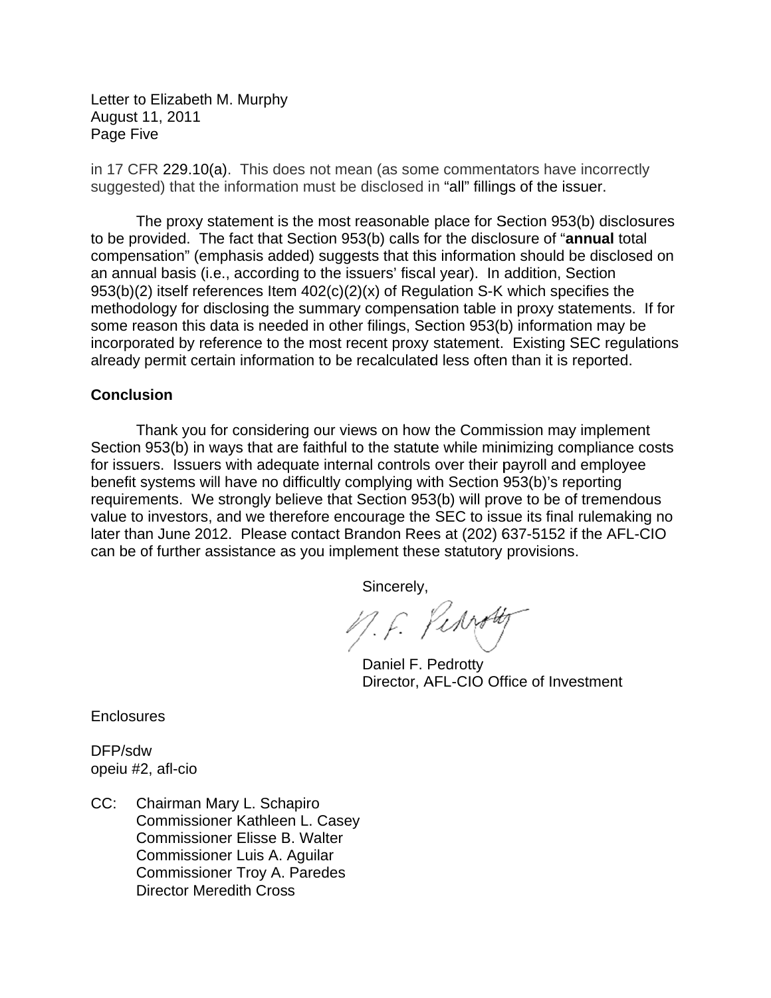Letter to Elizabeth M. Murphy August 11, 2011 Page Five

in 17 CFR 229.10(a). This does not mean (as some commentators have incorrectly suggested) that the information must be disclosed in "all" fillings of the issuer.

r The proxy statement is the most reasonable place for Section 953(b) disclosures to be provided. The fact that Section 953(b) calls for the disclosure of "**annual** total compensation" (emphasis added) suggests that this information should be disclosed on an annual basis (i.e., according to the issuers' fiscal year). In addition, Section 953(b)(2) itself references Item 402(c)(2)(x) of Regulation S-K which specifies the methodology for disclosing the summary compensation table in proxy statements. If for some reason this data is needed in other filings, Section 953(b) information may be incorporated by reference to the most recent proxy statement. Existing SEC regulations already permit certain information to be recalculated less often than it is reported.

#### **Conclusion**

Thank you for considering our views on how the Commission may implement Section 953(b) in ways that are faithful to the statute while minimizing compliance costs for issuers. Issuers with adequate internal controls over their payroll and employee benefit systems will have no difficultly complying with Section 953(b)'s reporting requirements. We strongly believe that Section 953(b) will prove to be of tremendous value to investors, and we therefore encourage the SEC to issue its final rulemaking no later than June 2012. Please contact Brandon Rees at (202) 637-5152 if the AFL-CIO can be of further assistance as you implement these statutory provisions.

Sincerely,

M.F. Perroty

Daniel F. Pedrotty Director, AFL-CIO Office of Investment

**Enclosures** 

DFP/sdw opeiu #2, afl-cio

CC: Chairman Mary L. Schapiro Commissioner Kathleen L. Casey Commissioner Elisse B. Walter Commissioner Luis A. Aguilar Commissioner Troy A. Paredes Director Meredith Cross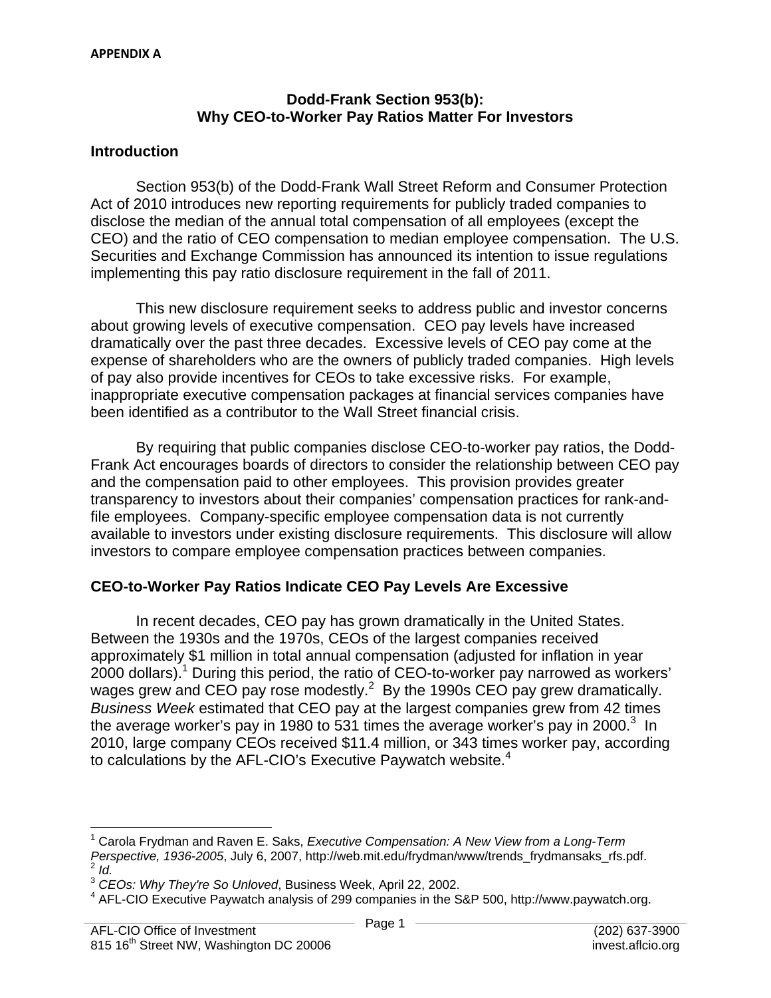#### **Dodd-Frank Section 953(b): Why CEO-to-Worker Pay Ratios Matter For Investors**

#### **Introduction**

Section 953(b) of the Dodd-Frank Wall Street Reform and Consumer Protection Act of 2010 introduces new reporting requirements for publicly traded companies to disclose the median of the annual total compensation of all employees (except the CEO) and the ratio of CEO compensation to median employee compensation. The U.S. Securities and Exchange Commission has announced its intention to issue regulations implementing this pay ratio disclosure requirement in the fall of 2011.

This new disclosure requirement seeks to address public and investor concerns about growing levels of executive compensation. CEO pay levels have increased dramatically over the past three decades. Excessive levels of CEO pay come at the expense of shareholders who are the owners of publicly traded companies. High levels of pay also provide incentives for CEOs to take excessive risks. For example, inappropriate executive compensation packages at financial services companies have been identified as a contributor to the Wall Street financial crisis.

By requiring that public companies disclose CEO-to-worker pay ratios, the Dodd-Frank Act encourages boards of directors to consider the relationship between CEO pay and the compensation paid to other employees. This provision provides greater transparency to investors about their companies' compensation practices for rank-andfile employees. Company-specific employee compensation data is not currently available to investors under existing disclosure requirements. This disclosure will allow investors to compare employee compensation practices between companies.

#### **CEO-to-Worker Pay Ratios Indicate CEO Pay Levels Are Excessive**

In recent decades, CEO pay has grown dramatically in the United States. Between the 1930s and the 1970s, CEOs of the largest companies received approximately \$1 million in total annual compensation (adjusted for inflation in year 2000 dollars).<sup>1</sup> During this period, the ratio of CEO-to-worker pay narrowed as workers' wages grew and CEO pay rose modestly.<sup>2</sup> By the 1990s CEO pay grew dramatically. *Business Week* estimated that CEO pay at the largest companies grew from 42 times the average worker's pay in 1980 to 531 times the average worker's pay in 2000. $3\,$  In 2010, large company CEOs received \$11.4 million, or 343 times worker pay, according to calculations by the AFL-CIO's Executive Paywatch website. $4$ 

 $2$  Id. 1 Carola Frydman and Raven E. Saks, *Executive Compensation: A New View from a Long-Term Perspective, 1936-2005*, July 6, 2007, http://web.mit.edu/frydman/www/trends\_frydmansaks\_rfs.pdf. <sup>2</sup>*Id.*

<sup>&</sup>lt;sup>3</sup> CEOs: Why They're So Unloved, Business Week, April 22, 2002.

 $4$  AFL-CIO Executive Paywatch analysis of 299 companies in the S&P 500, http://www.paywatch.org.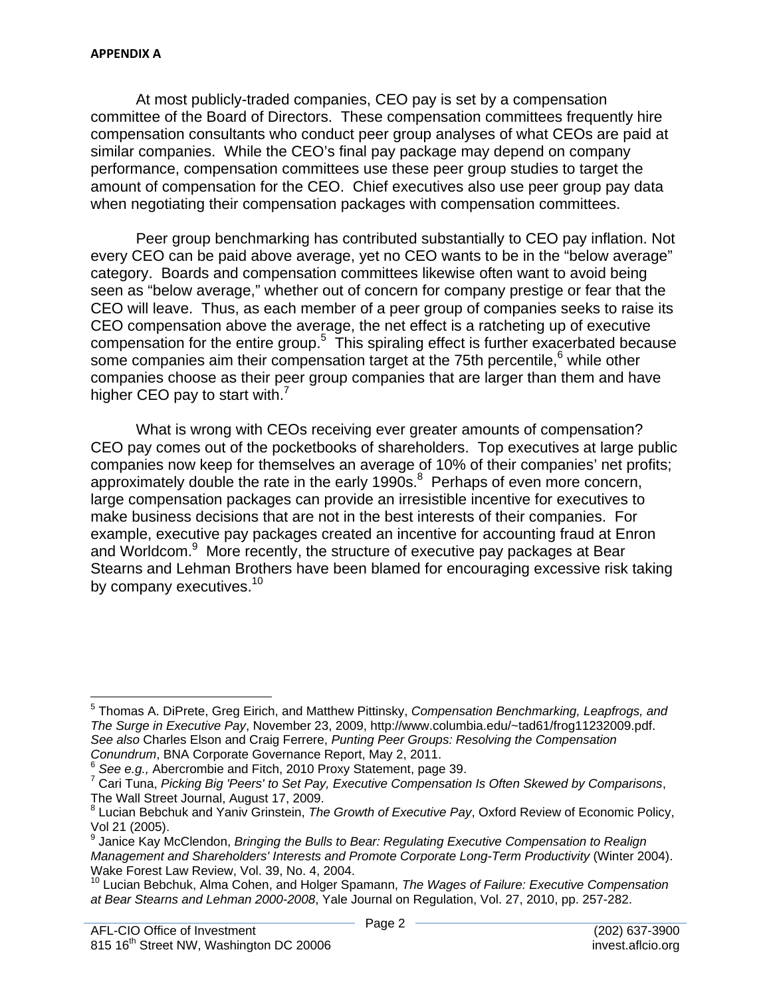At most publicly-traded companies, CEO pay is set by a compensation committee of the Board of Directors. These compensation committees frequently hire compensation consultants who conduct peer group analyses of what CEOs are paid at similar companies. While the CEO's final pay package may depend on company performance, compensation committees use these peer group studies to target the amount of compensation for the CEO. Chief executives also use peer group pay data when negotiating their compensation packages with compensation committees.

Peer group benchmarking has contributed substantially to CEO pay inflation. Not every CEO can be paid above average, yet no CEO wants to be in the "below average" category. Boards and compensation committees likewise often want to avoid being seen as "below average," whether out of concern for company prestige or fear that the CEO will leave. Thus, as each member of a peer group of companies seeks to raise its CEO compensation above the average, the net effect is a ratcheting up of executive compensation for the entire group.<sup>5</sup> This spiraling effect is further exacerbated because some companies aim their compensation target at the 75th percentile, $<sup>6</sup>$  while other</sup> companies choose as their peer group companies that are larger than them and have higher CEO pay to start with. $<sup>7</sup>$ </sup>

What is wrong with CEOs receiving ever greater amounts of compensation? CEO pay comes out of the pocketbooks of shareholders. Top executives at large public companies now keep for themselves an average of 10% of their companies' net profits; approximately double the rate in the early  $1990s<sup>8</sup>$ . Perhaps of even more concern, large compensation packages can provide an irresistible incentive for executives to make business decisions that are not in the best interests of their companies. For example, executive pay packages created an incentive for accounting fraud at Enron and Worldcom.<sup>9</sup> More recently, the structure of executive pay packages at Bear Stearns and Lehman Brothers have been blamed for encouraging excessive risk taking by company executives.<sup>10</sup>

<sup>5</sup> Thomas A. DiPrete, Greg Eirich, and Matthew Pittinsky, *Compensation Benchmarking, Leapfrogs, and The Surge in Executive Pay*, November 23, 2009, http://www.columbia.edu/~tad61/frog11232009.pdf. *See also* Charles Elson and Craig Ferrere, *Punting Peer Groups: Resolving the Compensation* 

*Conundrum*, BNA Corporate Governance Report, May 2, 2011.<br>
<sup>6</sup> See e.g., Abercrombie and Fitch, 2010 Proxy Statement, page 39.<br>
<sup>7</sup> Ceri Tune, *Rieking Pig 'Peers' te Set Pau, Executius Componention* 

Cari Tuna, *Picking Big 'Peers' to Set Pay, Executive Compensation Is Often Skewed by Comparisons*, The Wall Street Journal, August 17, 2009.

<sup>8</sup> Lucian Bebchuk and Yaniv Grinstein, *The Growth of Executive Pay*, Oxford Review of Economic Policy, Vol 21 (2005).

<sup>&</sup>lt;sup>9</sup> Janice Kay McClendon, *Bringing the Bulls to Bear: Regulating Executive Compensation to Realign Management and Shareholders' Interests and Promote Corporate Long-Term Productivity* (Winter 2004). Wake Forest Law Review, Vol. 39, No. 4, 2004.

<sup>10</sup> Lucian Bebchuk, Alma Cohen, and Holger Spamann, *The Wages of Failure: Executive Compensation at Bear Stearns and Lehman 2000-2008*, Yale Journal on Regulation, Vol. 27, 2010, pp. 257-282.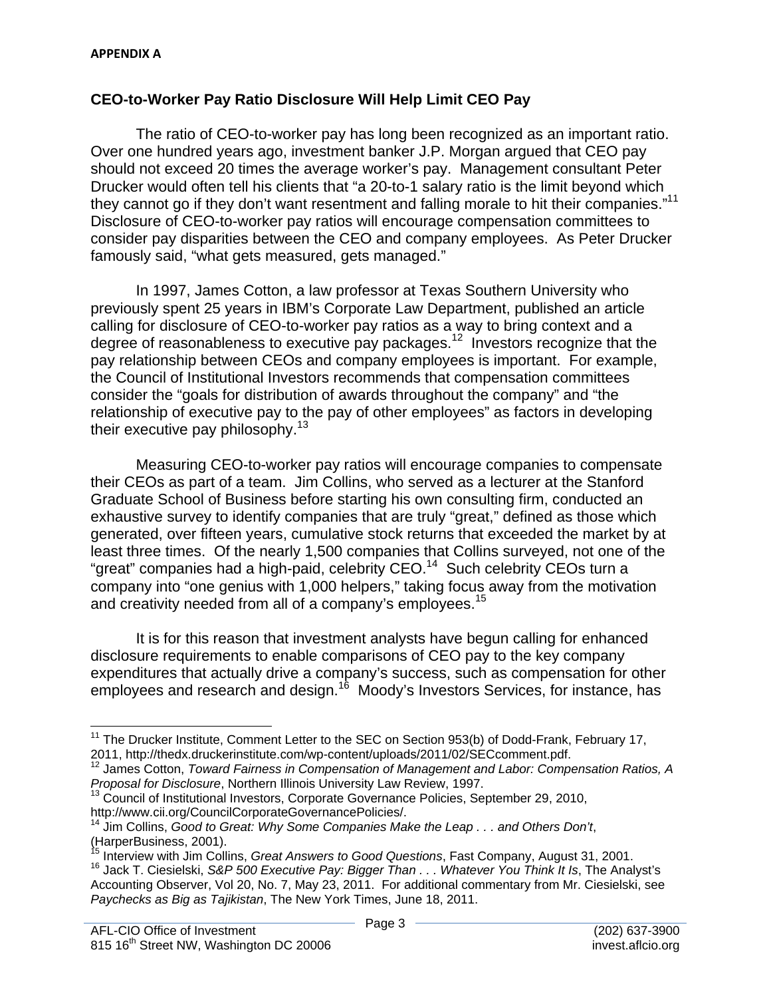# **CEO-to-Worker Pay Ratio Disclosure Will Help Limit CEO Pay**

they cannot go if they don't want resentment and falling morale to hit their companies."<sup>11</sup> The ratio of CEO-to-worker pay has long been recognized as an important ratio. Over one hundred years ago, investment banker J.P. Morgan argued that CEO pay should not exceed 20 times the average worker's pay. Management consultant Peter Drucker would often tell his clients that "a 20-to-1 salary ratio is the limit beyond which Disclosure of CEO-to-worker pay ratios will encourage compensation committees to consider pay disparities between the CEO and company employees. As Peter Drucker famously said, "what gets measured, gets managed."

In 1997, James Cotton, a law professor at Texas Southern University who previously spent 25 years in IBM's Corporate Law Department, published an article calling for disclosure of CEO-to-worker pay ratios as a way to bring context and a degree of reasonableness to executive pay packages.12 Investors recognize that the pay relationship between CEOs and company employees is important. For example, the Council of Institutional Investors recommends that compensation committees consider the "goals for distribution of awards throughout the company" and "the relationship of executive pay to the pay of other employees" as factors in developing their executive pay philosophy.<sup>13</sup>

and creativity needed from all of a company's employees.<sup>15</sup> Measuring CEO-to-worker pay ratios will encourage companies to compensate their CEOs as part of a team. Jim Collins, who served as a lecturer at the Stanford Graduate School of Business before starting his own consulting firm, conducted an exhaustive survey to identify companies that are truly "great," defined as those which generated, over fifteen years, cumulative stock returns that exceeded the market by at least three times. Of the nearly 1,500 companies that Collins surveyed, not one of the "great" companies had a high-paid, celebrity CEO.<sup>14</sup> Such celebrity CEOs turn a company into "one genius with 1,000 helpers," taking focus away from the motivation

It is for this reason that investment analysts have begun calling for enhanced disclosure requirements to enable comparisons of CEO pay to the key company expenditures that actually drive a company's success, such as compensation for other employees and research and design.<sup>16</sup> Moody's Investors Services, for instance, has

<sup>&</sup>lt;u> 1980 - Andrea Albert III, martin am Franca</u> <sup>11</sup> The Drucker Institute, Comment Letter to the SEC on Section 953(b) of Dodd-Frank, February 17, 2011, http://thedx.druckerinstitute.com/wp-content/uploads/2011/02/SECcomment.pdf.<br><sup>12</sup> James Cotton, *Toward Fairness in Compensation of Management and Labor: Compensation Ratios, A* 

*Proposal for Disclosure*, Northern Illinois University Law Review, 1997. 13 Council of Institutional Investors, Corporate Governance Policies, September 29, 2010, http://www.cii.org/CouncilCorporateGovernancePolicies/.

<sup>14</sup> Jim Collins, *Good to Great: Why Some Companies Make the Leap . . . and Others Don't*, (HarperBusiness, 2001).

<sup>&</sup>lt;sup>15</sup> Interview with Jim Collins, *Great Answers to Good Questions*, Fast Company, August 31, 2001.<br><sup>16</sup> Jack T. Ciesielski, *S&P 500 Executive Pay: Bigger Than . . . Whatever You Think It Is*, The Analyst's Accounting Observer, Vol 20, No. 7, May 23, 2011. For additional commentary from Mr. Ciesielski, see *Paychecks as Big as Tajikistan*, The New York Times, June 18, 2011.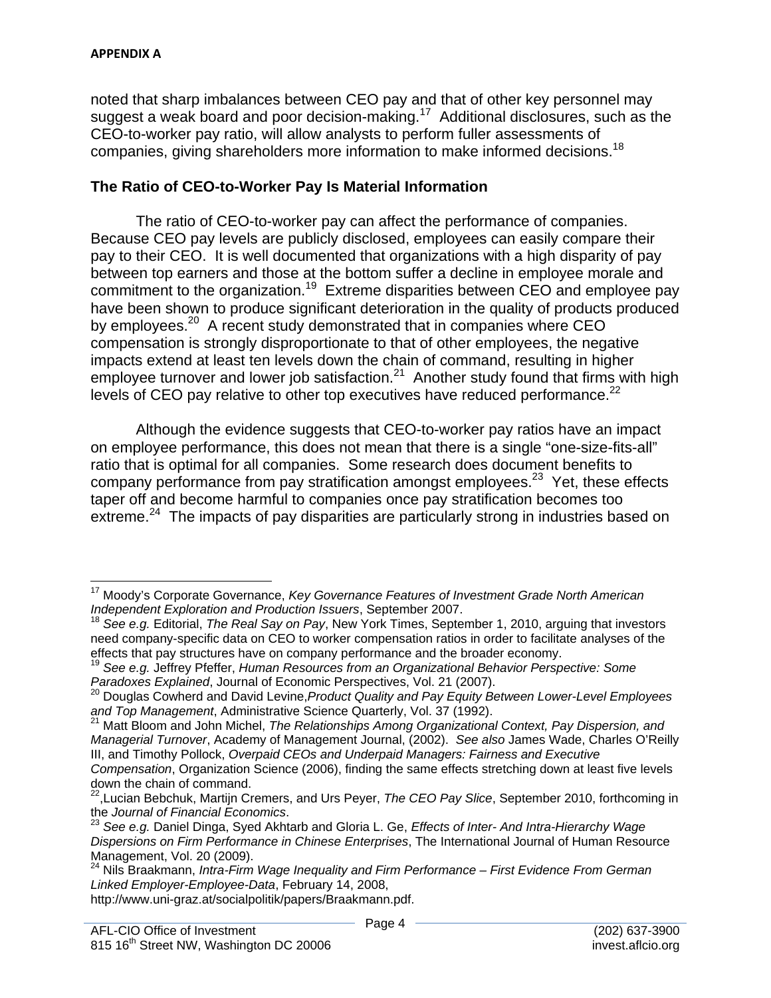noted that sharp imbalances between CEO pay and that of other key personnel may suggest a weak board and poor decision-making.<sup>17</sup> Additional disclosures, such as the CEO-to-worker pay ratio, will allow analysts to perform fuller assessments of companies, giving shareholders more information to make informed decisions.<sup>18</sup>

#### **The Ratio of CEO-to-Worker Pay Is Material Information**

The ratio of CEO-to-worker pay can affect the performance of companies. Because CEO pay levels are publicly disclosed, employees can easily compare their pay to their CEO. It is well documented that organizations with a high disparity of pay between top earners and those at the bottom suffer a decline in employee morale and commitment to the organization.19 Extreme disparities between CEO and employee pay have been shown to produce significant deterioration in the quality of products produced by employees.<sup>20</sup> A recent study demonstrated that in companies where CEO compensation is strongly disproportionate to that of other employees, the negative impacts extend at least ten levels down the chain of command, resulting in higher employee turnover and lower job satisfaction.<sup>21</sup> Another study found that firms with high levels of CEO pay relative to other top executives have reduced performance.<sup>22</sup>

Although the evidence suggests that CEO-to-worker pay ratios have an impact on employee performance, this does not mean that there is a single "one-size-fits-all" ratio that is optimal for all companies. Some research does document benefits to company performance from pay stratification amongst employees.<sup>23</sup> Yet, these effects taper off and become harmful to companies once pay stratification becomes too extreme.<sup>24</sup> The impacts of pay disparities are particularly strong in industries based on

<sup>&</sup>lt;sup>17</sup> Moody's Corporate Governance, *Key Governance Features of Investment Grade North American*<br>Independent Exploration and Production Issuers, September 2007.

*See e.g.* Editorial, *The Real Say on Pay*, New York Times, September 1, 2010, arguing that investors need company-specific data on CEO to worker compensation ratios in order to facilitate analyses of the effects that pay structures have on company performance and the broader economy.

<sup>&</sup>lt;sup>19</sup> See e.g. Jeffrey Pfeffer, Human Resources from an Organizational Behavior Perspective: Some<br>Paradoxes Explained, Journal of Economic Perspectives, Vol. 21 (2007).

*Paradoxes Explained*, Journal of Economic Perspectives, Vol. 21 (2007). 20 Douglas Cowherd and David Levine,*Product Quality and Pay Equity Between Lower-Level Employees*  and Top Management, Administrative Science Quarterly, Vol. 37 (1992).<br><sup>21</sup> Matt Bloom and John Michel, *The Relationships Among Organizational Context, Pay Dispersion, and* 

*Managerial Turnover*, Academy of Management Journal, (2002). *See also* James Wade, Charles O'Reilly III, and Timothy Pollock, *Overpaid CEOs and Underpaid Managers: Fairness and Executive Compensation*, Organization Science (2006), finding the same effects stretching down at least five levels

down the chain of command. 22,Lucian Bebchuk, Martijn Cremers, and Urs Peyer, *The CEO Pay Slice*, September 2010, forthcoming in

the *Journal of Financial Economics*.<br><sup>23</sup> See e.g. Daniel Dinga, Syed Akhtarb and Gloria L. Ge, *Effects of Inter- And Intra-Hierarchy Wage Dispersions on Firm Performance in Chinese Enterprises*, The International Journal of Human Resource Management, Vol. 20 (2009).

Linked Employer-Employee-Data, February 14, 2008, 24 Nils Braakmann, *Intra-Firm Wage Inequality and Firm Performance – First Evidence From German* 

*Linked Employer-Employee-Data*, February 14, 2008, http://www.uni-graz.at/socialpolitik/papers/Braakmann.pdf.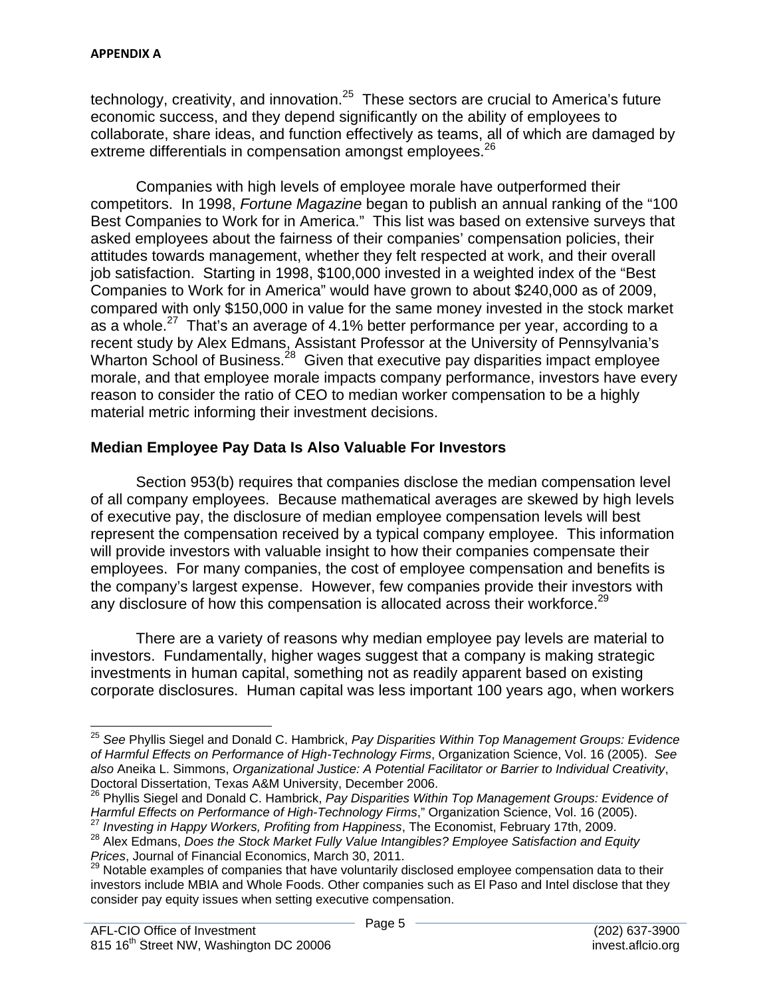technology, creativity, and innovation. $25$  These sectors are crucial to America's future economic success, and they depend significantly on the ability of employees to collaborate, share ideas, and function effectively as teams, all of which are damaged by extreme differentials in compensation amongst employees.<sup>26</sup>

Companies with high levels of employee morale have outperformed their competitors. In 1998, *Fortune Magazine* began to publish an annual ranking of the "100 Best Companies to Work for in America." This list was based on extensive surveys that asked employees about the fairness of their companies' compensation policies, their attitudes towards management, whether they felt respected at work, and their overall job satisfaction. Starting in 1998, \$100,000 invested in a weighted index of the "Best Companies to Work for in America" would have grown to about \$240,000 as of 2009, compared with only \$150,000 in value for the same money invested in the stock market as a whole.<sup>27</sup> That's an average of 4.1% better performance per year, according to a recent study by Alex Edmans, Assistant Professor at the University of Pennsylvania's Wharton School of Business.<sup>28</sup> Given that executive pay disparities impact employee morale, and that employee morale impacts company performance, investors have every reason to consider the ratio of CEO to median worker compensation to be a highly material metric informing their investment decisions.

## **Median Employee Pay Data Is Also Valuable For Investors**

Section 953(b) requires that companies disclose the median compensation level of all company employees. Because mathematical averages are skewed by high levels of executive pay, the disclosure of median employee compensation levels will best represent the compensation received by a typical company employee. This information will provide investors with valuable insight to how their companies compensate their employees. For many companies, the cost of employee compensation and benefits is the company's largest expense. However, few companies provide their investors with any disclosure of how this compensation is allocated across their workforce.<sup>29</sup>

There are a variety of reasons why median employee pay levels are material to investors. Fundamentally, higher wages suggest that a company is making strategic investments in human capital, something not as readily apparent based on existing corporate disclosures. Human capital was less important 100 years ago, when workers

 <sup>25</sup>*See* Phyllis Siegel and Donald C. Hambrick, *Pay Disparities Within Top Management Groups: Evidence of Harmful Effects on Performance of High-Technology Firms*, Organization Science, Vol. 16 (2005). *See also* Aneika L. Simmons, *Organizational Justice: A Potential Facilitator or Barrier to Individual Creativity*, Doctoral Dissertation, Texas A&M University, December 2006.

<sup>26</sup> Phyllis Siegel and Donald C. Hambrick, *Pay Disparities Within Top Management Groups: Evidence of*  Harmful Effects on Performance of High-Technology Firms," Organization Science, Vol. 16 (2005).<br><sup>27</sup> Investing in Happy Workers, Profiting from Happiness, The Economist, February 17th, 2009.<br><sup>28</sup> Alex Edmans, Does the Stoc

*Prices*, Journal of Financial Economics, March 30, 2011.

<sup>29</sup> Notable examples of companies that have voluntarily disclosed employee compensation data to their investors include MBIA and Whole Foods. Other companies such as El Paso and Intel disclose that they consider pay equity issues when setting executive compensation.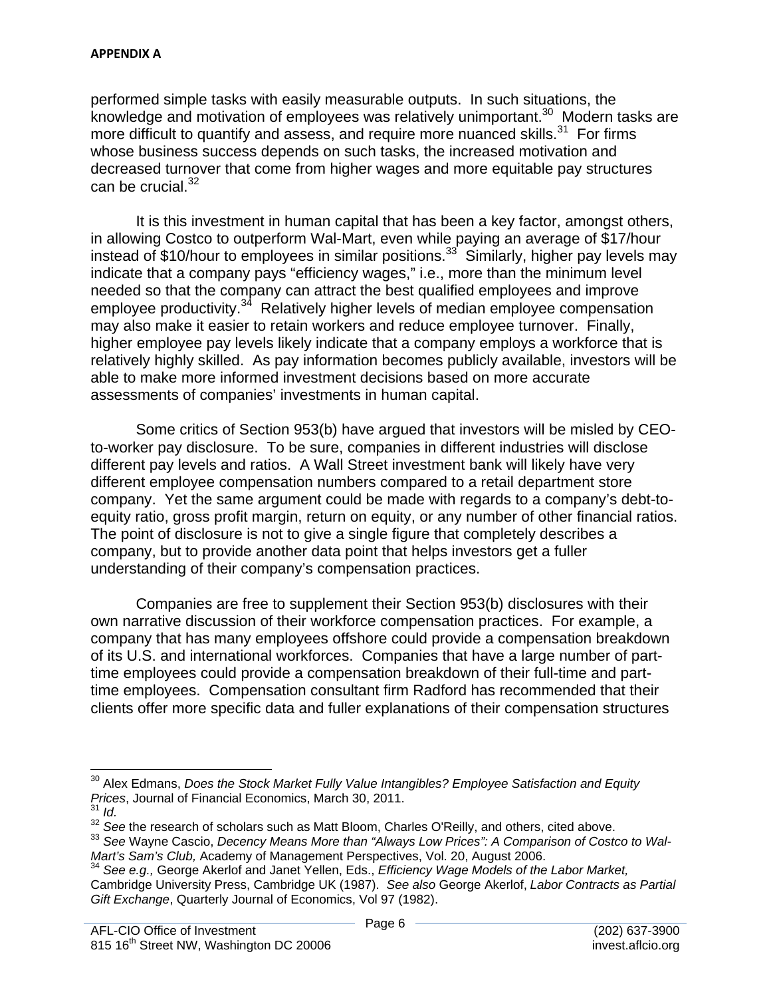can be crucial.<sup>32</sup> performed simple tasks with easily measurable outputs. In such situations, the knowledge and motivation of employees was relatively unimportant.<sup>30</sup> Modern tasks are more difficult to quantify and assess, and require more nuanced skills.<sup>31</sup> For firms whose business success depends on such tasks, the increased motivation and decreased turnover that come from higher wages and more equitable pay structures

It is this investment in human capital that has been a key factor, amongst others, in allowing Costco to outperform Wal-Mart, even while paying an average of \$17/hour instead of \$10/hour to employees in similar positions.<sup>33</sup> Similarly, higher pay levels may indicate that a company pays "efficiency wages," i.e., more than the minimum level needed so that the company can attract the best qualified employees and improve employee productivity.<sup>34</sup> Relatively higher levels of median employee compensation may also make it easier to retain workers and reduce employee turnover. Finally, higher employee pay levels likely indicate that a company employs a workforce that is relatively highly skilled. As pay information becomes publicly available, investors will be able to make more informed investment decisions based on more accurate assessments of companies' investments in human capital.

Some critics of Section 953(b) have argued that investors will be misled by CEOto-worker pay disclosure. To be sure, companies in different industries will disclose different pay levels and ratios. A Wall Street investment bank will likely have very different employee compensation numbers compared to a retail department store company. Yet the same argument could be made with regards to a company's debt-toequity ratio, gross profit margin, return on equity, or any number of other financial ratios. The point of disclosure is not to give a single figure that completely describes a company, but to provide another data point that helps investors get a fuller understanding of their company's compensation practices.

Companies are free to supplement their Section 953(b) disclosures with their own narrative discussion of their workforce compensation practices. For example, a company that has many employees offshore could provide a compensation breakdown of its U.S. and international workforces. Companies that have a large number of parttime employees could provide a compensation breakdown of their full-time and parttime employees. Compensation consultant firm Radford has recommended that their clients offer more specific data and fuller explanations of their compensation structures

<sup>&</sup>lt;u> 1980 - Andrea Albert III, am bhliain 1980 - An t-Aontaithe ann an t-Aontaithe ann an t-Aontaithe ann an t-Aon</u> <sup>30</sup> Alex Edmans, *Does the Stock Market Fully Value Intangibles? Employee Satisfaction and Equity Prices*, Journal of Financial Economics, March 30, 2011.

 <sup>31</sup>*Id.*

<sup>&</sup>lt;sup>32</sup> See the research of scholars such as Matt Bloom, Charles O'Reilly, and others, cited above.<br><sup>33</sup> See Wayne Cascio, *Decency Means More than "Always Low Prices": A Comparison of Costco to Wal-Mart's Sam's Club,* Academy of Management Perspectives, Vol. 20, August 2006.

<sup>34</sup>*See e.g.,* George Akerlof and Janet Yellen, Eds., *Efficiency Wage Models of the Labor Market,* Cambridge University Press, Cambridge UK (1987). *See also* George Akerlof, *Labor Contracts as Partial Gift Exchange*, Quarterly Journal of Economics, Vol 97 (1982).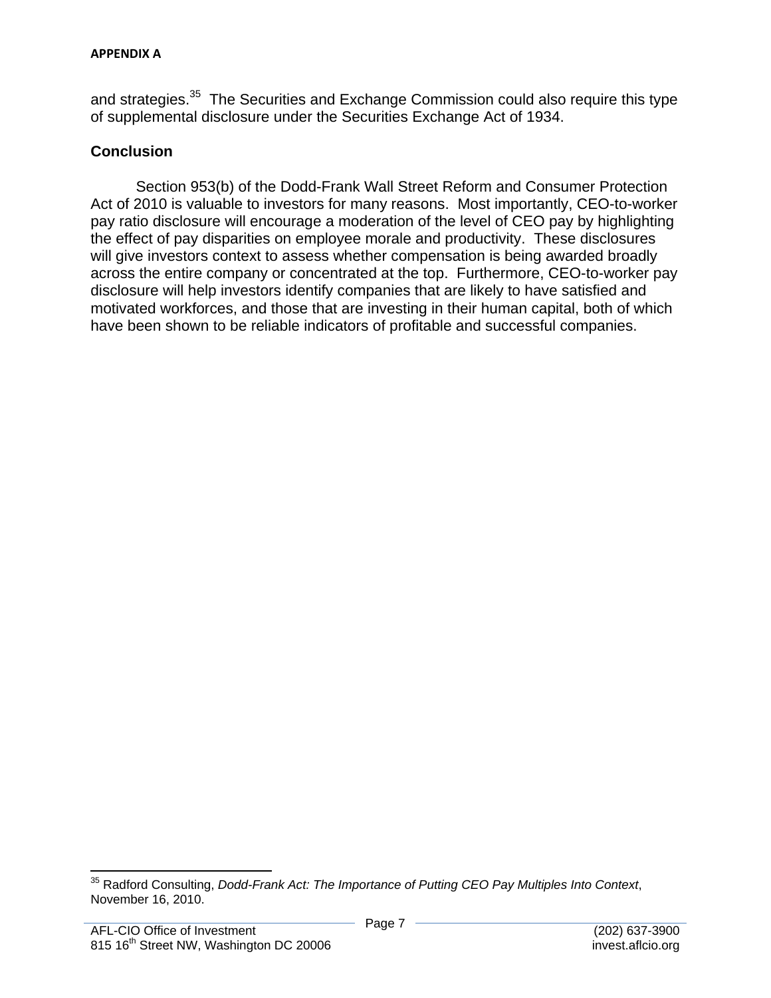and strategies.<sup>35</sup> The Securities and Exchange Commission could also require this type of supplemental disclosure under the Securities Exchange Act of 1934.

# **Conclusion**

Section 953(b) of the Dodd-Frank Wall Street Reform and Consumer Protection Act of 2010 is valuable to investors for many reasons. Most importantly, CEO-to-worker pay ratio disclosure will encourage a moderation of the level of CEO pay by highlighting the effect of pay disparities on employee morale and productivity. These disclosures will give investors context to assess whether compensation is being awarded broadly across the entire company or concentrated at the top. Furthermore, CEO-to-worker pay disclosure will help investors identify companies that are likely to have satisfied and motivated workforces, and those that are investing in their human capital, both of which have been shown to be reliable indicators of profitable and successful companies.

 35 Radford Consulting, *Dodd-Frank Act: The Importance of Putting CEO Pay Multiples Into Context*, November 16, 2010.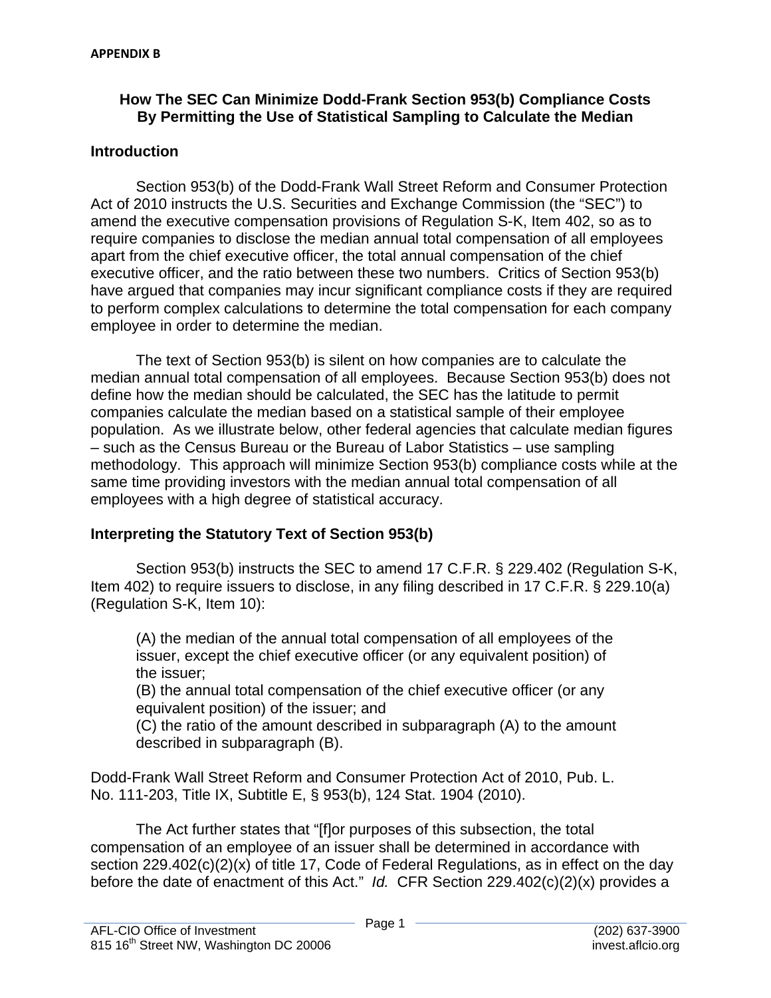## **How The SEC Can Minimize Dodd-Frank Section 953(b) Compliance Costs By Permitting the Use of Statistical Sampling to Calculate the Median**

#### **Introduction**

Section 953(b) of the Dodd-Frank Wall Street Reform and Consumer Protection Act of 2010 instructs the U.S. Securities and Exchange Commission (the "SEC") to amend the executive compensation provisions of Regulation S-K, Item 402, so as to require companies to disclose the median annual total compensation of all employees apart from the chief executive officer, the total annual compensation of the chief executive officer, and the ratio between these two numbers. Critics of Section 953(b) have argued that companies may incur significant compliance costs if they are required to perform complex calculations to determine the total compensation for each company employee in order to determine the median.

The text of Section 953(b) is silent on how companies are to calculate the median annual total compensation of all employees. Because Section 953(b) does not define how the median should be calculated, the SEC has the latitude to permit companies calculate the median based on a statistical sample of their employee population. As we illustrate below, other federal agencies that calculate median figures – such as the Census Bureau or the Bureau of Labor Statistics – use sampling methodology. This approach will minimize Section 953(b) compliance costs while at the same time providing investors with the median annual total compensation of all employees with a high degree of statistical accuracy.

# **Interpreting the Statutory Text of Section 953(b)**

Section 953(b) instructs the SEC to amend 17 C.F.R. § 229.402 (Regulation S-K, Item 402) to require issuers to disclose, in any filing described in 17 C.F.R. § 229.10(a) (Regulation S-K, Item 10):

(A) the median of the annual total compensation of all employees of the issuer, except the chief executive officer (or any equivalent position) of the issuer;

(B) the annual total compensation of the chief executive officer (or any equivalent position) of the issuer; and

(C) the ratio of the amount described in subparagraph (A) to the amount described in subparagraph (B).

Dodd-Frank Wall Street Reform and Consumer Protection Act of 2010, Pub. L. No. 111-203, Title IX, Subtitle E, § 953(b), 124 Stat. 1904 (2010).

The Act further states that "[f]or purposes of this subsection, the total compensation of an employee of an issuer shall be determined in accordance with section 229.402(c)(2)(x) of title 17, Code of Federal Regulations, as in effect on the day before the date of enactment of this Act." *Id.* CFR Section 229.402(c)(2)(x) provides a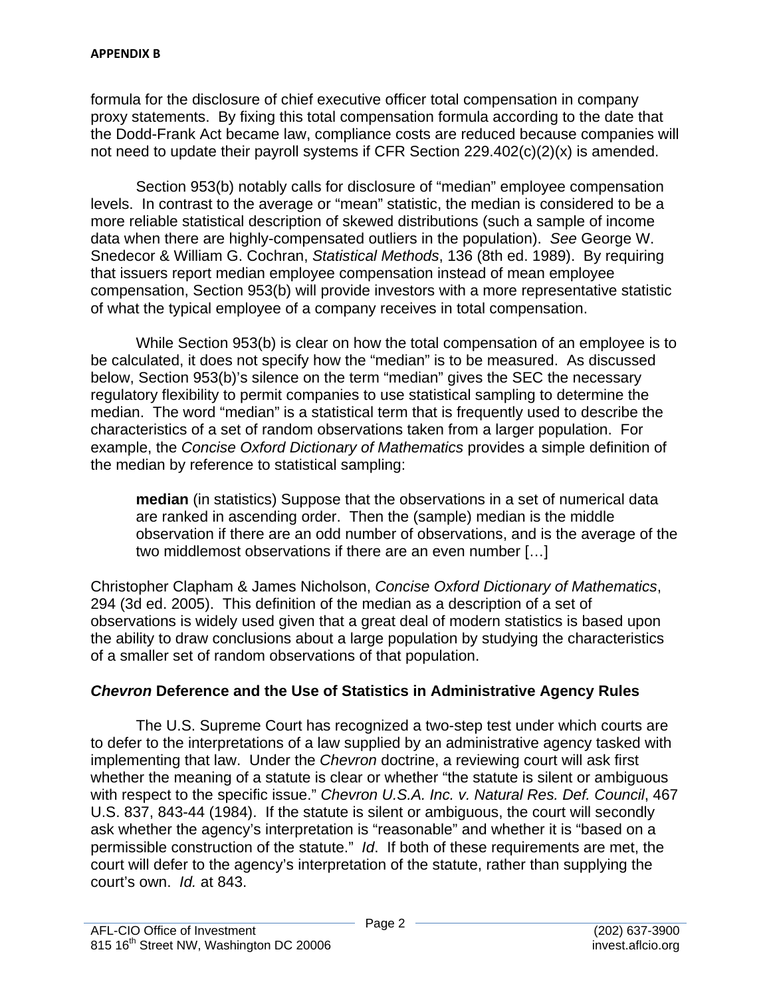formula for the disclosure of chief executive officer total compensation in company proxy statements. By fixing this total compensation formula according to the date that the Dodd-Frank Act became law, compliance costs are reduced because companies will not need to update their payroll systems if CFR Section 229.402(c)(2)(x) is amended.

Section 953(b) notably calls for disclosure of "median" employee compensation levels. In contrast to the average or "mean" statistic, the median is considered to be a more reliable statistical description of skewed distributions (such a sample of income data when there are highly-compensated outliers in the population). *See* George W. Snedecor & William G. Cochran, *Statistical Methods*, 136 (8th ed. 1989). By requiring that issuers report median employee compensation instead of mean employee compensation, Section 953(b) will provide investors with a more representative statistic of what the typical employee of a company receives in total compensation.

While Section 953(b) is clear on how the total compensation of an employee is to be calculated, it does not specify how the "median" is to be measured. As discussed below, Section 953(b)'s silence on the term "median" gives the SEC the necessary regulatory flexibility to permit companies to use statistical sampling to determine the median. The word "median" is a statistical term that is frequently used to describe the characteristics of a set of random observations taken from a larger population. For example, the *Concise Oxford Dictionary of Mathematics* provides a simple definition of the median by reference to statistical sampling:

**median** (in statistics) Suppose that the observations in a set of numerical data are ranked in ascending order. Then the (sample) median is the middle observation if there are an odd number of observations, and is the average of the two middlemost observations if there are an even number […]

Christopher Clapham & James Nicholson, *Concise Oxford Dictionary of Mathematics*, 294 (3d ed. 2005). This definition of the median as a description of a set of observations is widely used given that a great deal of modern statistics is based upon the ability to draw conclusions about a large population by studying the characteristics of a smaller set of random observations of that population.

# *Chevron* **Deference and the Use of Statistics in Administrative Agency Rules**

The U.S. Supreme Court has recognized a two-step test under which courts are to defer to the interpretations of a law supplied by an administrative agency tasked with implementing that law. Under the *Chevron* doctrine, a reviewing court will ask first whether the meaning of a statute is clear or whether "the statute is silent or ambiguous with respect to the specific issue." *Chevron U.S.A. Inc. v. Natural Res. Def. Council*, 467 U.S. 837, 843-44 (1984). If the statute is silent or ambiguous, the court will secondly ask whether the agency's interpretation is "reasonable" and whether it is "based on a permissible construction of the statute." *Id*. If both of these requirements are met, the court will defer to the agency's interpretation of the statute, rather than supplying the court's own. *Id.* at 843.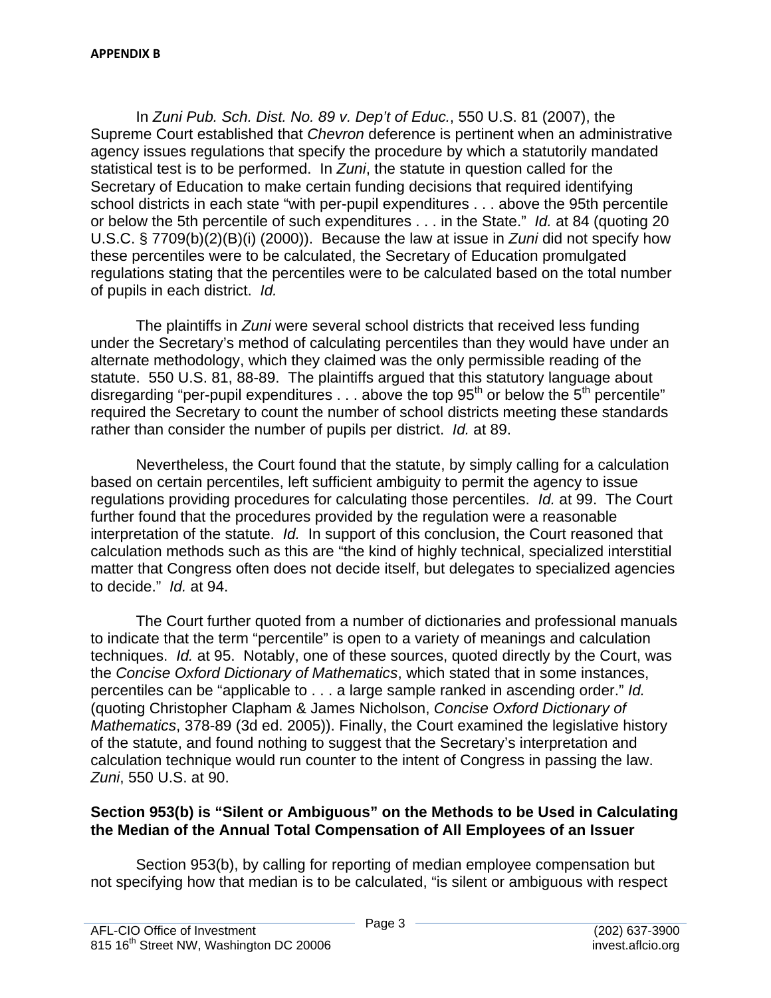In *Zuni Pub. Sch. Dist. No. 89 v. Dep't of Educ.*, 550 U.S. 81 (2007), the Supreme Court established that *Chevron* deference is pertinent when an administrative agency issues regulations that specify the procedure by which a statutorily mandated statistical test is to be performed. In *Zuni*, the statute in question called for the Secretary of Education to make certain funding decisions that required identifying school districts in each state "with per-pupil expenditures . . . above the 95th percentile or below the 5th percentile of such expenditures . . . in the State." *Id.* at 84 (quoting 20 U.S.C. § 7709(b)(2)(B)(i) (2000)). Because the law at issue in *Zuni* did not specify how these percentiles were to be calculated, the Secretary of Education promulgated regulations stating that the percentiles were to be calculated based on the total number of pupils in each district. *Id.* 

The plaintiffs in *Zuni* were several school districts that received less funding under the Secretary's method of calculating percentiles than they would have under an alternate methodology, which they claimed was the only permissible reading of the statute. 550 U.S. 81, 88-89. The plaintiffs argued that this statutory language about disregarding "per-pupil expenditures  $\dots$  above the top 95<sup>th</sup> or below the 5<sup>th</sup> percentile" required the Secretary to count the number of school districts meeting these standards rather than consider the number of pupils per district. *Id.* at 89.

Nevertheless, the Court found that the statute, by simply calling for a calculation based on certain percentiles, left sufficient ambiguity to permit the agency to issue regulations providing procedures for calculating those percentiles. *Id.* at 99. The Court further found that the procedures provided by the regulation were a reasonable interpretation of the statute. *Id.* In support of this conclusion, the Court reasoned that calculation methods such as this are "the kind of highly technical, specialized interstitial matter that Congress often does not decide itself, but delegates to specialized agencies to decide." *Id.* at 94.

 techniques. *Id.* at 95. Notably, one of these sources, quoted directly by the Court, was percentiles can be "applicable to . . . a large sample ranked in ascending order." *Id.* The Court further quoted from a number of dictionaries and professional manuals to indicate that the term "percentile" is open to a variety of meanings and calculation the *Concise Oxford Dictionary of Mathematics*, which stated that in some instances, (quoting Christopher Clapham & James Nicholson, *Concise Oxford Dictionary of Mathematics*, 378-89 (3d ed. 2005)). Finally, the Court examined the legislative history of the statute, and found nothing to suggest that the Secretary's interpretation and calculation technique would run counter to the intent of Congress in passing the law. *Zuni*, 550 U.S. at 90.

## **Section 953(b) is "Silent or Ambiguous" on the Methods to be Used in Calculating the Median of the Annual Total Compensation of All Employees of an Issuer**

Section 953(b), by calling for reporting of median employee compensation but not specifying how that median is to be calculated, "is silent or ambiguous with respect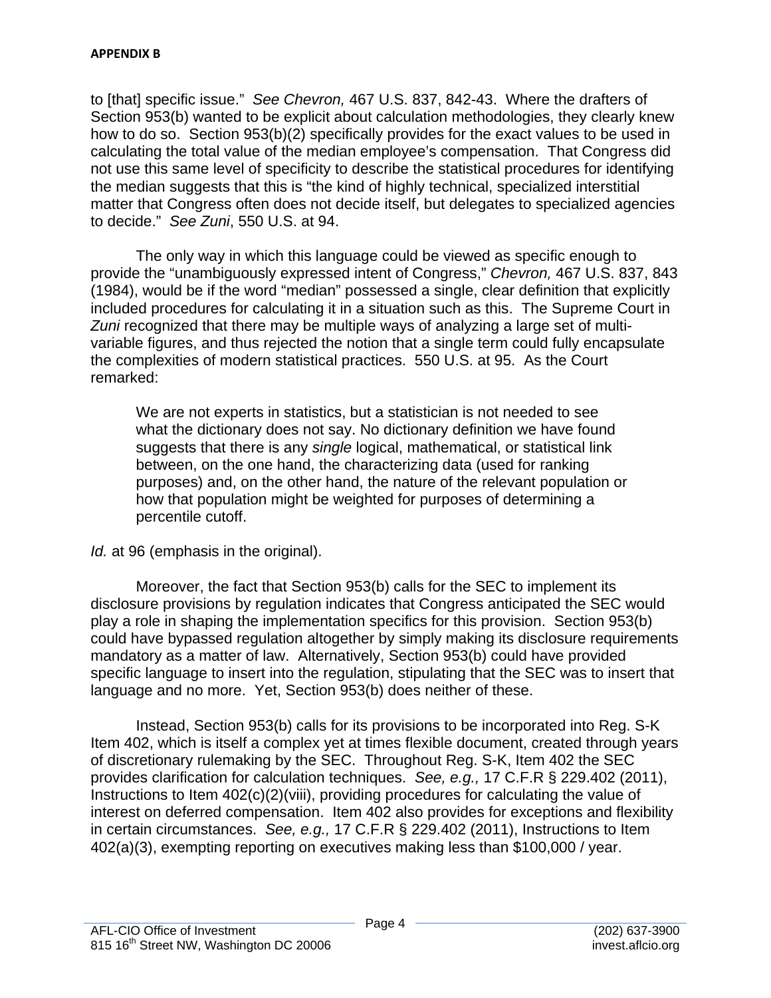to [that] specific issue." *See Chevron,* 467 U.S. 837, 842-43. Where the drafters of Section 953(b) wanted to be explicit about calculation methodologies, they clearly knew how to do so. Section 953(b)(2) specifically provides for the exact values to be used in calculating the total value of the median employee's compensation. That Congress did not use this same level of specificity to describe the statistical procedures for identifying the median suggests that this is "the kind of highly technical, specialized interstitial matter that Congress often does not decide itself, but delegates to specialized agencies to decide." *See Zuni*, 550 U.S. at 94.

The only way in which this language could be viewed as specific enough to provide the "unambiguously expressed intent of Congress," *Chevron,* 467 U.S. 837, 843 (1984), would be if the word "median" possessed a single, clear definition that explicitly included procedures for calculating it in a situation such as this. The Supreme Court in *Zuni* recognized that there may be multiple ways of analyzing a large set of multivariable figures, and thus rejected the notion that a single term could fully encapsulate the complexities of modern statistical practices. 550 U.S. at 95. As the Court remarked:

We are not experts in statistics, but a statistician is not needed to see what the dictionary does not say. No dictionary definition we have found suggests that there is any *single* logical, mathematical, or statistical link between, on the one hand, the characterizing data (used for ranking purposes) and, on the other hand, the nature of the relevant population or how that population might be weighted for purposes of determining a percentile cutoff.

*Id.* at 96 (emphasis in the original).

Moreover, the fact that Section 953(b) calls for the SEC to implement its disclosure provisions by regulation indicates that Congress anticipated the SEC would play a role in shaping the implementation specifics for this provision. Section 953(b) could have bypassed regulation altogether by simply making its disclosure requirements mandatory as a matter of law. Alternatively, Section 953(b) could have provided specific language to insert into the regulation, stipulating that the SEC was to insert that language and no more. Yet, Section 953(b) does neither of these.

Instead, Section 953(b) calls for its provisions to be incorporated into Reg. S-K Item 402, which is itself a complex yet at times flexible document, created through years of discretionary rulemaking by the SEC. Throughout Reg. S-K, Item 402 the SEC provides clarification for calculation techniques. *See, e.g.,* 17 C.F.R § 229.402 (2011), Instructions to Item 402(c)(2)(viii), providing procedures for calculating the value of interest on deferred compensation. Item 402 also provides for exceptions and flexibility in certain circumstances. *See, e.g.,* 17 C.F.R § 229.402 (2011), Instructions to Item 402(a)(3), exempting reporting on executives making less than \$100,000 / year.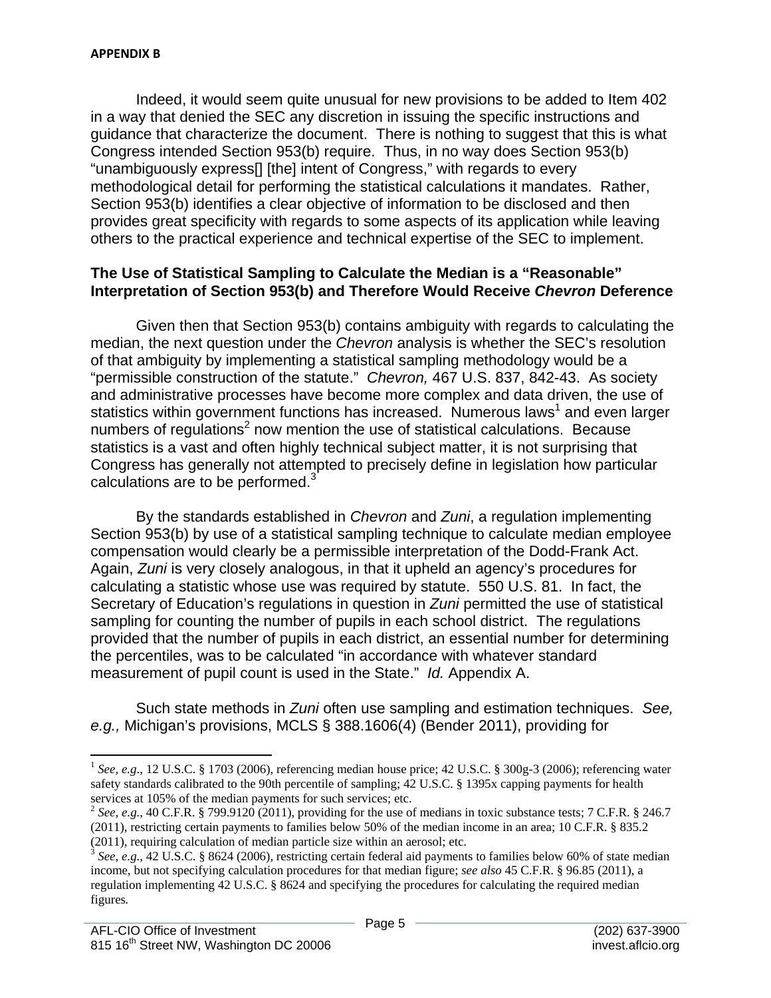Indeed, it would seem quite unusual for new provisions to be added to Item 402 in a way that denied the SEC any discretion in issuing the specific instructions and guidance that characterize the document. There is nothing to suggest that this is what Congress intended Section 953(b) require. Thus, in no way does Section 953(b) "unambiguously express[] [the] intent of Congress," with regards to every methodological detail for performing the statistical calculations it mandates. Rather, Section 953(b) identifies a clear objective of information to be disclosed and then provides great specificity with regards to some aspects of its application while leaving others to the practical experience and technical expertise of the SEC to implement.

#### **The Use of Statistical Sampling to Calculate the Median is a "Reasonable" Interpretation of Section 953(b) and Therefore Would Receive** *Chevron* **Deference**

calculations are to be performed. $3$ Given then that Section 953(b) contains ambiguity with regards to calculating the median, the next question under the *Chevron* analysis is whether the SEC's resolution of that ambiguity by implementing a statistical sampling methodology would be a "permissible construction of the statute." *Chevron,* 467 U.S. 837, 842-43. As society and administrative processes have become more complex and data driven, the use of statistics within government functions has increased. Numerous laws<sup>1</sup> and even larger numbers of regulations<sup>2</sup> now mention the use of statistical calculations. Because statistics is a vast and often highly technical subject matter, it is not surprising that Congress has generally not attempted to precisely define in legislation how particular

By the standards established in *Chevron* and *Zuni*, a regulation implementing Section 953(b) by use of a statistical sampling technique to calculate median employee compensation would clearly be a permissible interpretation of the Dodd-Frank Act. Again, *Zuni* is very closely analogous, in that it upheld an agency's procedures for calculating a statistic whose use was required by statute. 550 U.S. 81. In fact, the Secretary of Education's regulations in question in *Zuni* permitted the use of statistical sampling for counting the number of pupils in each school district. The regulations provided that the number of pupils in each district, an essential number for determining the percentiles, was to be calculated "in accordance with whatever standard measurement of pupil count is used in the State." *Id.* Appendix A.

Such state methods in *Zuni* often use sampling and estimation techniques. *See, e.g.,* Michigan's provisions, MCLS § 388.1606(4) (Bender 2011), providing for

<sup>&</sup>lt;sup>1</sup> See, e.g., 12 U.S.C. § 1703 (2006), referencing median house price; 42 U.S.C. § 300g-3 (2006); referencing water safety standards calibrated to the 90th percentile of sampling; 42 U.S.C. § 1395x capping payments for health services at 105% of the median payments for such services; etc.

 $^2$  See, e.g., 40 C.F.R. § 799.9120 (2011), providing for the use of medians in toxic substance tests; 7 C.F.R. § 246.7 (2011), restricting certain payments to families below 50% of the median income in an area; 10 C.F.R. § 835.2

<sup>(2011),</sup> requiring calculation of median particle size within an aerosol; etc.<br><sup>3</sup> *See, e.g.*, 42 U.S.C. § 8624 (2006), restricting certain federal aid payments to families below 60% of state median regulation implementing 42 U.S.C. § 8624 and specifying the procedures for calculating the required median income, but not specifying calculation procedures for that median figure; *see also* 45 C.F.R. § 96.85 (2011), a figures*.*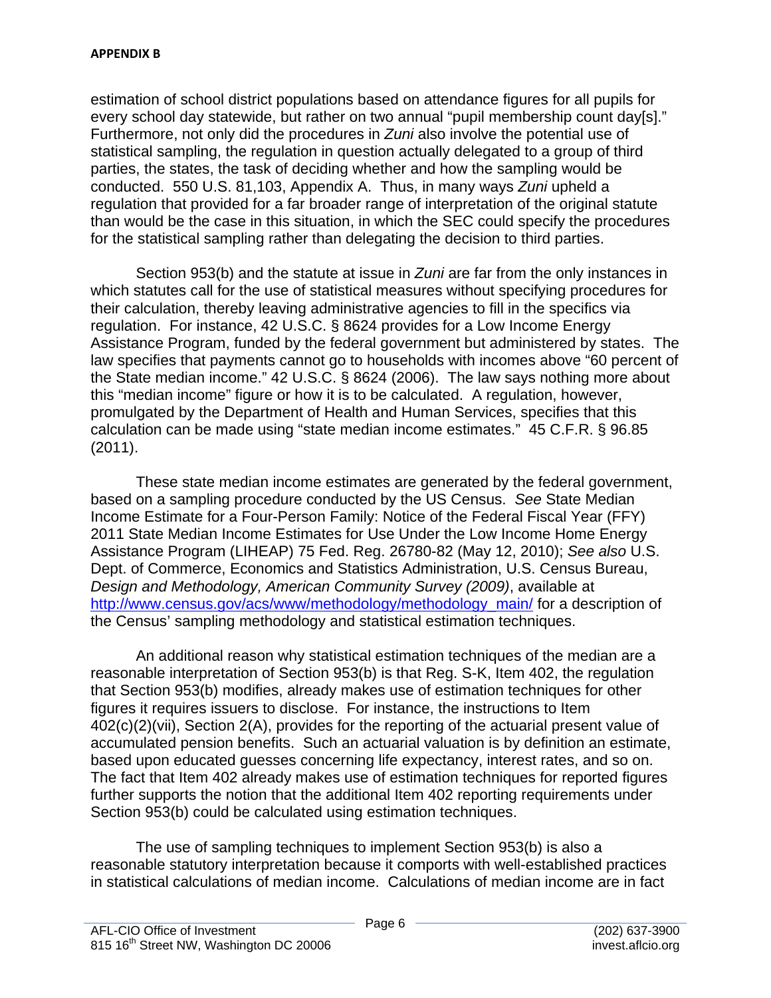estimation of school district populations based on attendance figures for all pupils for every school day statewide, but rather on two annual "pupil membership count day[s]." Furthermore, not only did the procedures in *Zuni* also involve the potential use of statistical sampling, the regulation in question actually delegated to a group of third parties, the states, the task of deciding whether and how the sampling would be conducted. 550 U.S. 81,103, Appendix A. Thus, in many ways *Zuni* upheld a regulation that provided for a far broader range of interpretation of the original statute than would be the case in this situation, in which the SEC could specify the procedures for the statistical sampling rather than delegating the decision to third parties.

Section 953(b) and the statute at issue in *Zuni* are far from the only instances in which statutes call for the use of statistical measures without specifying procedures for their calculation, thereby leaving administrative agencies to fill in the specifics via regulation. For instance, 42 U.S.C. § 8624 provides for a Low Income Energy Assistance Program, funded by the federal government but administered by states. The law specifies that payments cannot go to households with incomes above "60 percent of the State median income." 42 U.S.C. § 8624 (2006). The law says nothing more about this "median income" figure or how it is to be calculated. A regulation, however, promulgated by the Department of Health and Human Services, specifies that this calculation can be made using "state median income estimates." 45 C.F.R. § 96.85 (2011).

These state median income estimates are generated by the federal government, based on a sampling procedure conducted by the US Census. *See* State Median Income Estimate for a Four-Person Family: Notice of the Federal Fiscal Year (FFY) 2011 State Median Income Estimates for Use Under the Low Income Home Energy Assistance Program (LIHEAP) 75 Fed. Reg. 26780-82 (May 12, 2010); *See also* U.S. Dept. of Commerce, Economics and Statistics Administration, U.S. Census Bureau, *Design and Methodology, American Community Survey (2009)*, available at http://www.census.gov/acs/www/methodology/methodology\_main/ for a description of the Census' sampling methodology and statistical estimation techniques.

An additional reason why statistical estimation techniques of the median are a reasonable interpretation of Section 953(b) is that Reg. S-K, Item 402, the regulation that Section 953(b) modifies, already makes use of estimation techniques for other figures it requires issuers to disclose. For instance, the instructions to Item 402(c)(2)(vii), Section 2(A), provides for the reporting of the actuarial present value of accumulated pension benefits. Such an actuarial valuation is by definition an estimate, based upon educated guesses concerning life expectancy, interest rates, and so on. The fact that Item 402 already makes use of estimation techniques for reported figures further supports the notion that the additional Item 402 reporting requirements under Section 953(b) could be calculated using estimation techniques.

The use of sampling techniques to implement Section 953(b) is also a reasonable statutory interpretation because it comports with well-established practices in statistical calculations of median income. Calculations of median income are in fact